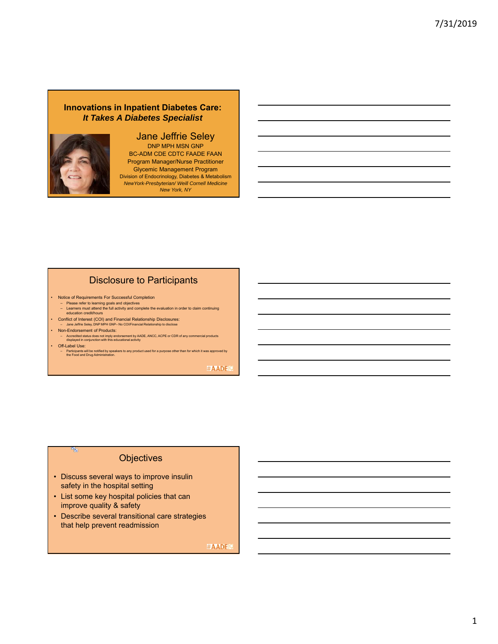### **Innovations in Inpatient Diabetes Care:** *It Takes A Diabetes Specialist*



### Jane Jeffrie Seley DNP MPH MSN GNP

BC-ADM CDE CDTC FAADE FAAN Program Manager/Nurse Practitioner Glycemic Management Program Division of Endocrinology, Diabetes & Metabolism *NewYork-Presbyterian/ Weill Cornell Medicine New York, NY*

# Disclosure to Participants

• Notice of Requirements For Successful Completion – Please refer to learning goals and objectives

- Learners must attend the full activity and complete the evaluation in order to claim continuing education credit/hours
- Conflict of Interest (COI) and Financial Relationship Disclosures: Jane Jeffrie Seley, DNP MPH GNP– No COI/Financial Relationship to disclose
- Non-Endorsement of Products:
- Accredited status does not imply endorsement by AADE, ANCC, ACPE or CDR of any commercial products displayed in conjunction with this educational activity
- Off-Label Use:

a,

– Participants will be notified by speakers to any product used for a purpose other than for which it was approved by the Food and Drug Administration.

#AADE

## **Objectives**

- Discuss several ways to improve insulin safety in the hospital setting
- List some key hospital policies that can improve quality & safety
- Describe several transitional care strategies that help prevent readmission

#AADE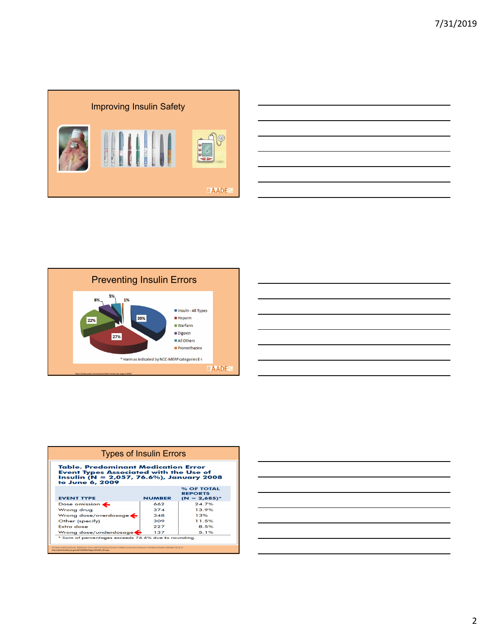





| <b>Types of Insulin Errors</b>                                                                                                                                                                                   |               |                                                 |  |  |  |  |
|------------------------------------------------------------------------------------------------------------------------------------------------------------------------------------------------------------------|---------------|-------------------------------------------------|--|--|--|--|
| Table, Predominant Medication Error<br><b>Event Types Associated with the Use of</b><br>Insulin (N = 2,057, 76.6%), January 2008<br>to June 6, 2009                                                              |               |                                                 |  |  |  |  |
| <b>EVENT TYPE</b>                                                                                                                                                                                                | <b>NUMBER</b> | % OF TOTAL<br><b>REPORTS</b><br>$(N = 2,685)^*$ |  |  |  |  |
| Dose omission $\leftarrow$                                                                                                                                                                                       | 662           | 247%                                            |  |  |  |  |
| Wrong drug                                                                                                                                                                                                       | 374           | 13.9%                                           |  |  |  |  |
| Wrong dose/overdosage $\blacktriangle$                                                                                                                                                                           | 348           | 1.3%                                            |  |  |  |  |
| Other (specify)                                                                                                                                                                                                  | 309           | 11.5%                                           |  |  |  |  |
| Extra dose                                                                                                                                                                                                       | 227           | 8.5%                                            |  |  |  |  |
| Wrong dose/underdosage<                                                                                                                                                                                          | 137           | 5.1%                                            |  |  |  |  |
| * Sum of percentages exceeds 76.6% due to rounding.                                                                                                                                                              |               |                                                 |  |  |  |  |
| Pa Patient Safety Authority, Medication Errors with the Dosing of Insulin: Problems across the Continuum, Pa Patient Saf Advis 2010 Mar:7(11:9-17<br>http://patientsafety.pa.gov/ADVISORIES/Pages/201003_09.aspx |               |                                                 |  |  |  |  |

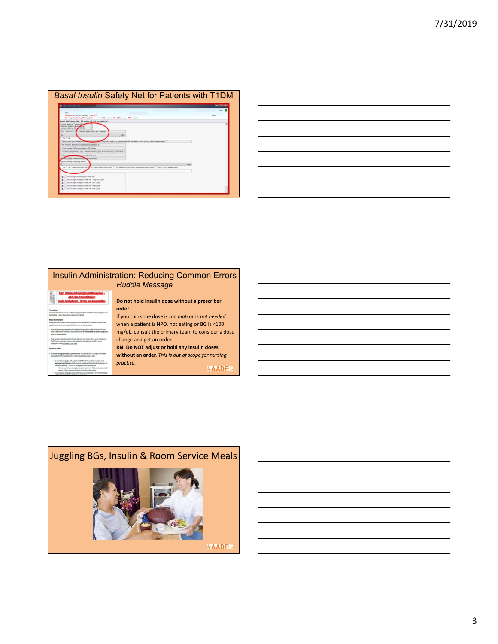|                                                                                                                                                                  | - 0          |
|------------------------------------------------------------------------------------------------------------------------------------------------------------------|--------------|
|                                                                                                                                                                  | Male 62      |
| Atlangian: No Known Allengian East D/C:                                                                                                                          | PCP-         |
| Wt: kg 0 Dry(Dosing/Wt: kg 0 Ht:<br>on GCs milines SCs (185A) up in SMI: light)                                                                                  |              |
| Admit NYP Order Set., 14 arders of 131 are selected)<br>American College of Ca.                                                                                  |              |
| usine's Evidence Based<br>writing Counterbrane (Mr) and (133.40)                                                                                                 |              |
|                                                                                                                                                                  |              |
| ADULT PATIENTS ON Y Does the patient have Type 1 diabetes?                                                                                                       |              |
| Clear<br>IF Yes C No.                                                                                                                                            |              |
| "Fateritz with Type 1 disbetes 1774<br>Thing acting maybe be a calargeal date. We calculated, confirm of ming, adjust shoe as needed. The                        |              |
| In reck velocity and state of 1440 F.P. Thickly On W.                                                                                                            |              |
| S 1 unto hig daty # NPO or poor intake < SDL of tree                                                                                                             |              |
| 3.15 unto his date if elderly. Type 1 diabetes, lean body type, renal insufficiency, parcneated                                                                  |              |
| 0.2 units for detail assesses or oververable body type                                                                                                           |              |
| This kip daty if about both hard sperry stereds                                                                                                                  |              |
| Are you ordering long acting insular?                                                                                                                            |              |
|                                                                                                                                                                  | <b>Clear</b> |
| Yes (" No - Patient on Voudin drip 2 no - patient's out insulin pump (" no - patient on other long or intermediate acting insulin (" other - MISIT explain below |              |
|                                                                                                                                                                  |              |
|                                                                                                                                                                  |              |
| Desule Lapro Facting NPO Criter Set                                                                                                                              |              |
| Insulin Ligero Gargine Order Set. Very Low Done                                                                                                                  |              |
| Dinaulin Lispra Glargine Order Set: Low Dose                                                                                                                     |              |

| <b>Contract Contract</b>                                                                                                                                             |
|----------------------------------------------------------------------------------------------------------------------------------------------------------------------|
|                                                                                                                                                                      |
|                                                                                                                                                                      |
|                                                                                                                                                                      |
| ,我们也不会有一个人的事情。""我们的人们,我们也不会有一个人的人,我们也不会有一个人的人,我们也不会有一个人的人,我们也不会有一个人的人,我们也不会有一个人的<br>第一百一十一章 我们的人,我们的人们的人们,我们的人们的人们的人们,我们的人们的人们的人们,我们的人们的人们,我们的人们的人们,我们的人们的人们,我们的人们的人 |

|                                                                                                                                                                                                                                                                                                                                                                                                                                                                                                                                                                                                                                                                                                                                                                                                                                                                                                                                                | <b>Insulin Administration: Reducing Common Errors</b>                                                                                                                                                                                            |
|------------------------------------------------------------------------------------------------------------------------------------------------------------------------------------------------------------------------------------------------------------------------------------------------------------------------------------------------------------------------------------------------------------------------------------------------------------------------------------------------------------------------------------------------------------------------------------------------------------------------------------------------------------------------------------------------------------------------------------------------------------------------------------------------------------------------------------------------------------------------------------------------------------------------------------------------|--------------------------------------------------------------------------------------------------------------------------------------------------------------------------------------------------------------------------------------------------|
|                                                                                                                                                                                                                                                                                                                                                                                                                                                                                                                                                                                                                                                                                                                                                                                                                                                                                                                                                | <b>Huddle Message</b>                                                                                                                                                                                                                            |
| opic: Diabetes and Hyperglycemia Management -<br>luit (Non-Pregnant) Patient<br>ninistration – RN Role and Respe                                                                                                                                                                                                                                                                                                                                                                                                                                                                                                                                                                                                                                                                                                                                                                                                                               | Do not hold insulin dose without a prescriber                                                                                                                                                                                                    |
| larlation in administration of insulis, for adult (non-program) potents with distints and/or hypergianmia, has<br>beer shelffed. A weige of his prices was removed a indicated<br>Why is this important?<br>holding basal insulin can lead to aerious complications such as hyperglucents and disbetic letterations CNR,<br>equelable in patients with hope 3. debutes ITSDM who have no insulin production.<br>Insults allerging is a long acting based insults that began Manufacturer (MD) steeds for 24 hours. The draw is<br>boost on the pattern of forting blood glucconizeds and has no relationship with the patient's eating status.<br>ar current BS unless fasting<br>Insule aged is a rigid acting insule that may be ordered to cover most and/or to correct hyperghormia.<br>The NFC insults agant artist set down are who and effective for patients who are NFC to correct<br>how please is and it not interded to goer medi- | order.<br>If you think the dose is too high or is not needed<br>when a patient is NPO, not eating or BG is <100<br>mg/dL, consult the primary team to consider a dose<br>change and get an order.<br>RN: Do NOT adjust or hold any insulin doses |
| <b>Key process points</b><br>Do not hold insule glarging without a prescriber order. If you think the down is too high or in not rescribe<br>what a patient is NFL consult the heart to consider a dose change and get an order<br>. Do not bold insulin glargine with a patient with TGMW with the second on of a patient who is<br>rearising an insults infusion. An insulin infusion is a replesement for laced insulin glangine and is not<br>interded to cover medi. The order for tracks glargine should be decortineed.<br>a When an insulin infusion is being discontinued in a patient with 722M, insulin glargine should<br>be given 3.2 hours in advance of strapping the infusion to begin working<br>. As a green'd guilty, the glargine down should be decreased via a pressition order when the fasting big<br>(20 mpH). Cornel the boards depose a downstarting                                                                | without an order. This is out of scope for nursing<br>practice.<br><b>#AADEI</b> 9                                                                                                                                                               |

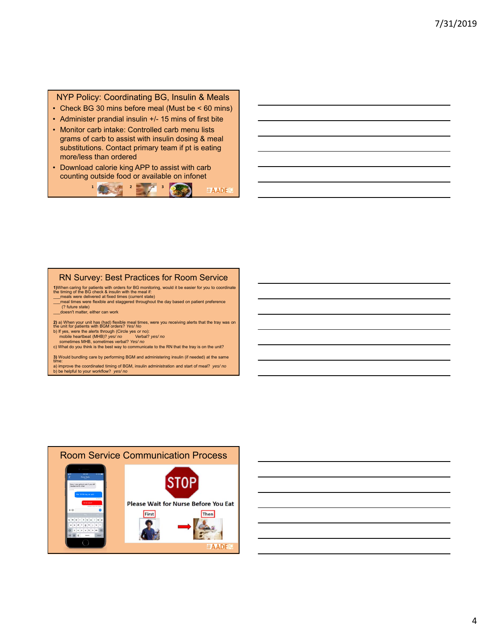### NYP Policy: Coordinating BG, Insulin & Meals

- Check BG 30 mins before meal (Must be < 60 mins)
- Administer prandial insulin +/- 15 mins of first bite
- Monitor carb intake: Controlled carb menu lists grams of carb to assist with insulin dosing & meal substitutions. Contact primary team if pt is eating more/less than ordered
- Download calorie king APP to assist with carb counting outside food or available on infonet



## RN Survey: Best Practices for Room Service

**1)**When caring for patients with orders for BG monitoring, would it be easier for you to coordinate the timing of the BG check & insulin with the meal if:<br>the timing of the BG check & insulin with the meal if:<br>meals were

- \_\_\_meal times were flexible and staggered throughout the day based on patient preference (? future state)
- 

\_\_\_doesn't matter, either can work

2) a) When your unit has (had) flexible meal times, were you receiving alerts that the tray was on<br>the unit for patients with BGM orders? Yes/ No<br>b) If yes, were the alerts through (Circle yes or no):<br>mobile heartbeat (MH

- 
- 

c) What do you think is the best way to communicate to the RN that the tray is on the unit?

**3)** Would bundling care by performing BGM and administering insulin (if needed) at the same time:

a) improve the coordinated timing of BGM, insulin administration and start of meal? *yes/ no* b) be helpful to your workflow? *yes/ no*



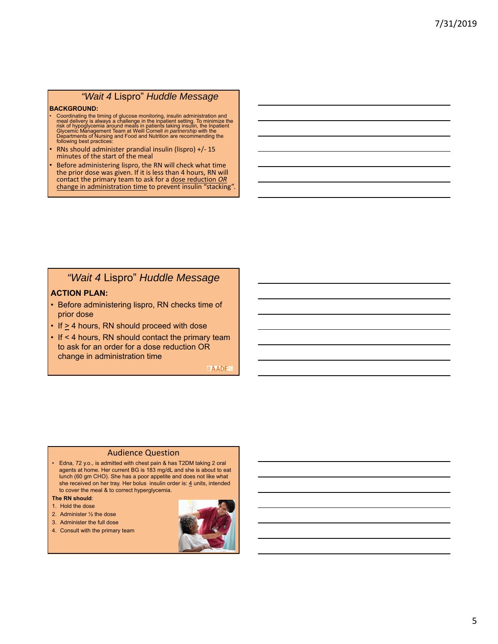## *"Wait 4* Lispro" *Huddle Message*

#### **BACKGROUND:**

- Coordinating the timing of glucose monitoring, insulin administration and<br>meal delivery is always a challenge in the inpatient setting. To minimize the<br>risk of hypoglycemia around meals in patients taking insulin, the In
- RNs should administer prandial insulin (lispro) +/‐ 15 minutes of the start of the meal
- Before administering lispro, the RN will check what time the prior dose was given. If it is less than 4 hours, RN will contact the primary team to ask for a dose reduction *OR* change in administration time to prevent insulin "stacking".

# *"Wait 4* Lispro" *Huddle Message*

### **ACTION PLAN:**

- Before administering lispro, RN checks time of prior dose
- $\cdot$  If  $\geq$  4 hours, RN should proceed with dose
- If < 4 hours, RN should contact the primary team to ask for an order for a dose reduction OR change in administration time

#AADE

#### Audience Question

- Edna, 72 y.o., is admitted with chest pain & has T2DM taking 2 oral agents at home. Her current BG is 183 mg/dL and she is about to eat lunch (60 gm CHO). She has a poor appetite and does not like what she received on her tray. Her bolus insulin order is: 4 units, intended to cover the meal & to correct hyperglycemia.
- **The RN should**:
- 1. Hold the dose
- 2. Administer ½ the dose
- 3. Administer the full dose
- 4. Consult with the primary team

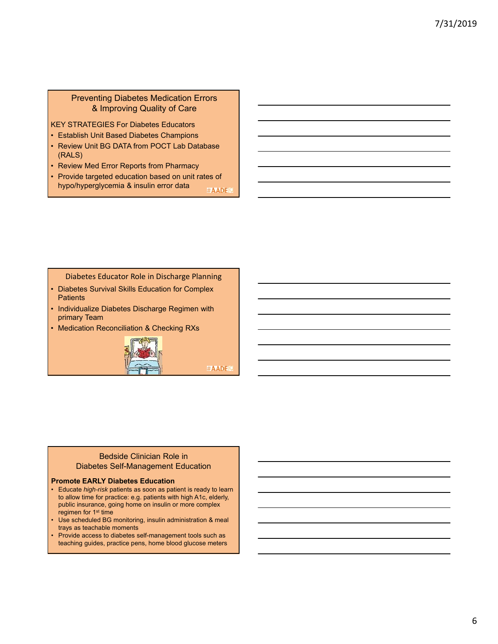## Preventing Diabetes Medication Errors & Improving Quality of Care

KEY STRATEGIES For Diabetes Educators

- Establish Unit Based Diabetes Champions
- Review Unit BG DATA from POCT Lab Database (RALS)
- Review Med Error Reports from Pharmacy
- Provide targeted education based on unit rates of hypo/hyperglycemia & insulin error data #AADE

Diabetes Educator Role in Discharge Planning

- Diabetes Survival Skills Education for Complex **Patients**
- Individualize Diabetes Discharge Regimen with primary Team
- Medication Reconciliation & Checking RXs



#AADE

### Bedside Clinician Role in Diabetes Self-Management Education

### **Promote EARLY Diabetes Education**

- Educate *high-risk* patients as soon as patient is ready to learn to allow time for practice: e.g. patients with high A1c, elderly, public insurance, going home on insulin or more complex regimen for 1st time
- Use scheduled BG monitoring, insulin administration & meal trays as teachable moments
- Provide access to diabetes self-management tools such as teaching guides, practice pens, home blood glucose meters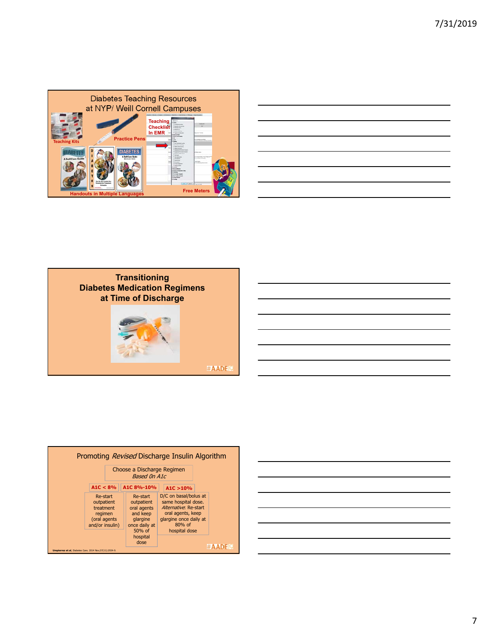

| and the control of the control of                                                                                    |  |
|----------------------------------------------------------------------------------------------------------------------|--|
| <u> Andreas Andreas Andreas Andreas Andreas Andreas Andreas Andreas Andreas Andreas Andreas Andreas Andreas Andr</u> |  |
|                                                                                                                      |  |
|                                                                                                                      |  |
|                                                                                                                      |  |
|                                                                                                                      |  |
| <u> 1989 - Andrea Santa Andrea Andrea Andrea Andrea Andrea Andrea Andrea Andrea Andrea Andrea Andrea Andrea Andr</u> |  |





#AADE

|                                                          |                                                                                   |  |  | Promoting <i>Revised</i> Discharge Insulin Algorithm                                       |  |                                                                                                                                                   |  |                  |
|----------------------------------------------------------|-----------------------------------------------------------------------------------|--|--|--------------------------------------------------------------------------------------------|--|---------------------------------------------------------------------------------------------------------------------------------------------------|--|------------------|
|                                                          | Choose a Discharge Regimen<br><b>Based On A1c</b>                                 |  |  |                                                                                            |  |                                                                                                                                                   |  |                  |
| A1C < 8%                                                 |                                                                                   |  |  | A1C 8%-10%                                                                                 |  | A1C > 10%                                                                                                                                         |  |                  |
|                                                          | Re-start<br>outpatient<br>treatment<br>regimen<br>(oral agents<br>and/or insulin) |  |  | Re-start<br>outpatient<br>oral agents<br>and keep<br>glargine<br>once daily at<br>$50%$ of |  | D/C on basal/bolus at<br>same hospital dose.<br>Alternative: Re-start<br>oral agents, keep<br>glargine once daily at<br>$80%$ of<br>hospital dose |  |                  |
| Umpierrez et al. Diabetes Care. 2014 Nov: 37(11):2934-9. |                                                                                   |  |  | hospital<br>dose                                                                           |  |                                                                                                                                                   |  | $\#$ <b>AADE</b> |